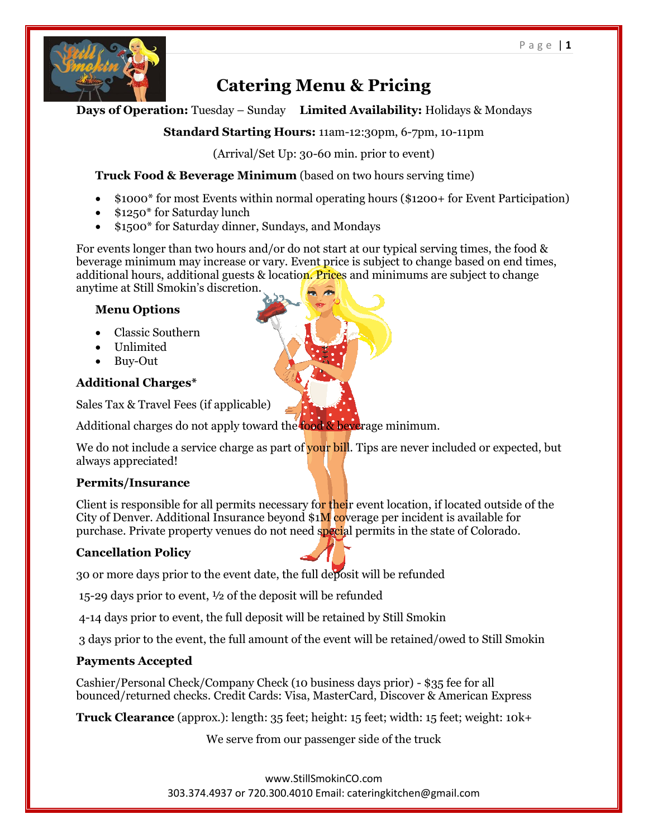

# **Catering Menu & Pricing**

## **Days of Operation:** Tuesday – Sunday **Limited Availability:** Holidays & Mondays

## **Standard Starting Hours:** 11am-12:30pm, 6-7pm, 10-11pm

(Arrival/Set Up: 30-60 min. prior to event)

## **Truck Food & Beverage Minimum** (based on two hours serving time)

- \$1000\* for most Events within normal operating hours (\$1200+ for Event Participation)
- \$1250\* for Saturday lunch
- \$1500\* for Saturday dinner, Sundays, and Mondays

For events longer than two hours and/or do not start at our typical serving times, the food & beverage minimum may increase or vary. Event price is subject to change based on end times, additional hours, additional guests & location. Prices and minimums are subject to change anytime at Still Smokin's discretion.

## **Menu Options**

- Classic Southern
- Unlimited
- Buy-Out

# **Additional Charges\***

Sales Tax & Travel Fees (if applicable)

Additional charges do not apply toward the food & beverage minimum.

We do not include a service charge as part of your bill. Tips are never included or expected, but always appreciated!

# **Permits/Insurance**

Client is responsible for all permits necessary for their event location, if located outside of the City of Denver. Additional Insurance beyond  $$1M$  coverage per incident is available for purchase. Private property venues do not need special permits in the state of Colorado.

# **Cancellation Policy**

30 or more days prior to the event date, the full deposit will be refunded

15-29 days prior to event, ½ of the deposit will be refunded

4-14 days prior to event, the full deposit will be retained by Still Smokin

3 days prior to the event, the full amount of the event will be retained/owed to Still Smokin

# **Payments Accepted**

Cashier/Personal Check/Company Check (10 business days prior) - \$35 fee for all bounced/returned checks. Credit Cards: Visa, MasterCard, Discover & American Express

**Truck Clearance** (approx.): length: 35 feet; height: 15 feet; width: 15 feet; weight: 10k+

We serve from our passenger side of the truck

www.StillSmokinCO.com 303.374.4937 or 720.300.4010 Email: cateringkitchen@gmail.com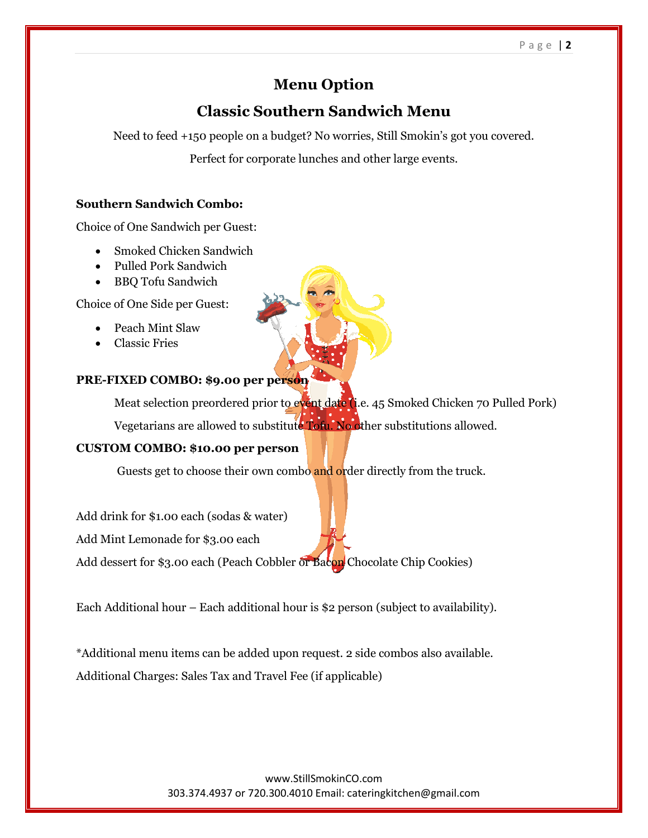#### P a g e | **2**

# **Menu Option**

# **Classic Southern Sandwich Menu**

Need to feed +150 people on a budget? No worries, Still Smokin's got you covered.

Perfect for corporate lunches and other large events.

#### **Southern Sandwich Combo:**

Choice of One Sandwich per Guest:

- Smoked Chicken Sandwich
- Pulled Pork Sandwich
- BBQ Tofu Sandwich

Choice of One Side per Guest:

- Peach Mint Slaw
- Classic Fries

#### **PRE-FIXED COMBO: \$9.00 per person**

Meat selection preordered prior to event date (i.e. 45 Smoked Chicken 70 Pulled Pork) Vegetarians are allowed to substitute Tofu. No other substitutions allowed.

#### **CUSTOM COMBO: \$10.00 per person**

Guests get to choose their own combo and order directly from the truck.

Add drink for \$1.00 each (sodas & water)

Add Mint Lemonade for \$3.00 each

Add dessert for \$3.00 each (Peach Cobbler or Bacon Chocolate Chip Cookies)

Each Additional hour – Each additional hour is \$2 person (subject to availability).

\*Additional menu items can be added upon request. 2 side combos also available. Additional Charges: Sales Tax and Travel Fee (if applicable)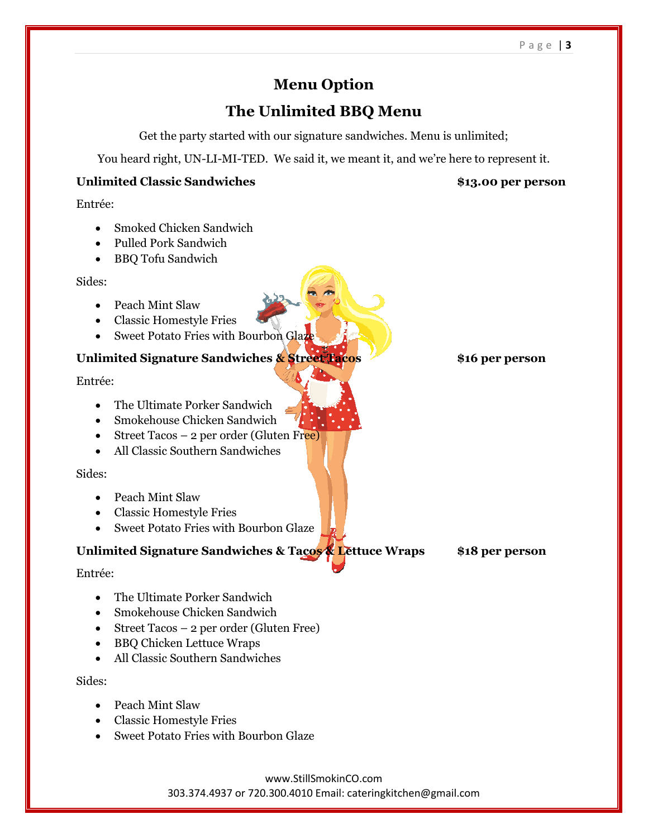# **Menu Option**

# **The Unlimited BBQ Menu**

Get the party started with our signature sandwiches. Menu is unlimited;

You heard right, UN-LI-MI-TED. We said it, we meant it, and we're here to represent it.

### **Unlimited Classic Sandwiches \$13.00 per person**

Entrée:

- Smoked Chicken Sandwich
- Pulled Pork Sandwich
- BBQ Tofu Sandwich

Sides:

- Peach Mint Slaw
- Classic Homestyle Fries
- Sweet Potato Fries with Bourbon Glaze

### **Unlimited Signature Sandwiches & Street Tacos \$16 per person**

Entrée:

- The Ultimate Porker Sandwich
- Smokehouse Chicken Sandwich
- Street Tacos 2 per order (Gluten Free)
- All Classic Southern Sandwiches

#### Sides:

- Peach Mint Slaw
- Classic Homestyle Fries
- Sweet Potato Fries with Bourbon Glaze

## **Unlimited Signature Sandwiches & Tacos & Lettuce Wraps \$18 per person**

Entrée:

- The Ultimate Porker Sandwich
- Smokehouse Chicken Sandwich
- Street Tacos 2 per order (Gluten Free)
- BBQ Chicken Lettuce Wraps
- All Classic Southern Sandwiches

Sides:

- Peach Mint Slaw
- Classic Homestyle Fries
- Sweet Potato Fries with Bourbon Glaze

www.StillSmokinCO.com 303.374.4937 or 720.300.4010 Email: cateringkitchen@gmail.com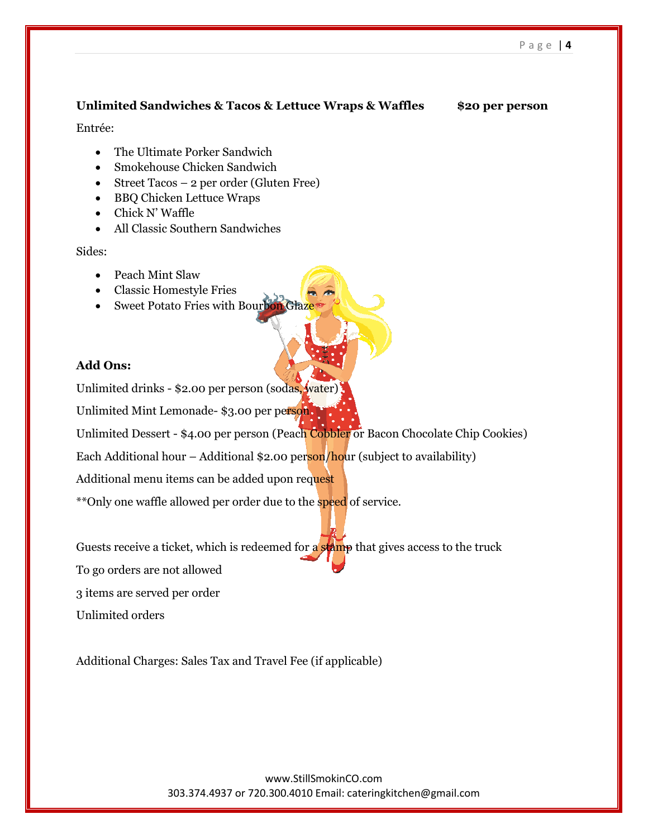#### **Unlimited Sandwiches & Tacos & Lettuce Wraps & Waffles \$20 per person**

Entrée:

- The Ultimate Porker Sandwich
- Smokehouse Chicken Sandwich
- Street Tacos 2 per order (Gluten Free)
- BBQ Chicken Lettuce Wraps
- Chick N' Waffle
- All Classic Southern Sandwiches

Sides:

- Peach Mint Slaw
- Classic Homestyle Fries
- Sweet Potato Fries with Bourbon Glaze

#### **Add Ons:**

Unlimited drinks - \$2.00 per person (sodas, water)

Unlimited Mint Lemonade- \$3.00 per person.

Unlimited Dessert - \$4.00 per person (Peach Cobbler or Bacon Chocolate Chip Cookies)

Each Additional hour – Additional  $$2.00$  person/hour (subject to availability)

Additional menu items can be added upon request

\*\*Only one waffle allowed per order due to the **speed** of service.

Guests receive a ticket, which is redeemed for a stamp that gives access to the truck

To go orders are not allowed

3 items are served per order

Unlimited orders

Additional Charges: Sales Tax and Travel Fee (if applicable)